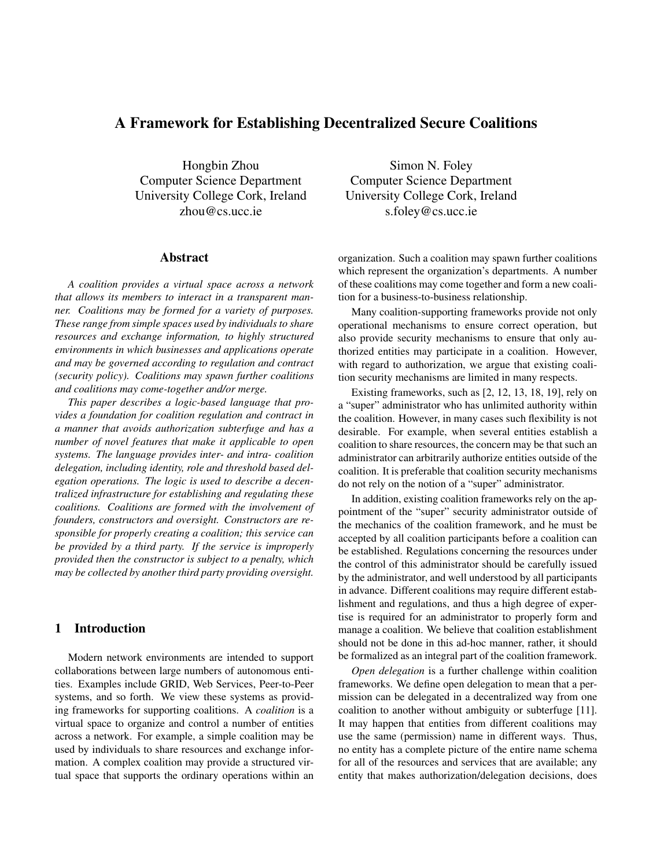# A Framework for Establishing Decentralized Secure Coalitions

Hongbin Zhou Computer Science Department University College Cork, Ireland zhou@cs.ucc.ie

#### Abstract

*A coalition provides a virtual space across a network that allows its members to interact in a transparent manner. Coalitions may be formed for a variety of purposes. These range from simple spaces used by individuals to share resources and exchange information, to highly structured environments in which businesses and applications operate and may be governed according to regulation and contract (security policy). Coalitions may spawn further coalitions and coalitions may come-together and/or merge.*

*This paper describes a logic-based language that provides a foundation for coalition regulation and contract in a manner that avoids authorization subterfuge and has a number of novel features that make it applicable to open systems. The language provides inter- and intra- coalition delegation, including identity, role and threshold based delegation operations. The logic is used to describe a decentralized infrastructure for establishing and regulating these coalitions. Coalitions are formed with the involvement of founders, constructors and oversight. Constructors are responsible for properly creating a coalition; this service can be provided by a third party. If the service is improperly provided then the constructor is subject to a penalty, which may be collected by another third party providing oversight.*

# 1 Introduction

Modern network environments are intended to support collaborations between large numbers of autonomous entities. Examples include GRID, Web Services, Peer-to-Peer systems, and so forth. We view these systems as providing frameworks for supporting coalitions. A *coalition* is a virtual space to organize and control a number of entities across a network. For example, a simple coalition may be used by individuals to share resources and exchange information. A complex coalition may provide a structured virtual space that supports the ordinary operations within an

Simon N. Foley Computer Science Department University College Cork, Ireland s.foley@cs.ucc.ie

organization. Such a coalition may spawn further coalitions which represent the organization's departments. A number of these coalitions may come together and form a new coalition for a business-to-business relationship.

Many coalition-supporting frameworks provide not only operational mechanisms to ensure correct operation, but also provide security mechanisms to ensure that only authorized entities may participate in a coalition. However, with regard to authorization, we argue that existing coalition security mechanisms are limited in many respects.

Existing frameworks, such as [2, 12, 13, 18, 19], rely on a "super" administrator who has unlimited authority within the coalition. However, in many cases such flexibility is not desirable. For example, when several entities establish a coalition to share resources, the concern may be that such an administrator can arbitrarily authorize entities outside of the coalition. It is preferable that coalition security mechanisms do not rely on the notion of a "super" administrator.

In addition, existing coalition frameworks rely on the appointment of the "super" security administrator outside of the mechanics of the coalition framework, and he must be accepted by all coalition participants before a coalition can be established. Regulations concerning the resources under the control of this administrator should be carefully issued by the administrator, and well understood by all participants in advance. Different coalitions may require different establishment and regulations, and thus a high degree of expertise is required for an administrator to properly form and manage a coalition. We believe that coalition establishment should not be done in this ad-hoc manner, rather, it should be formalized as an integral part of the coalition framework.

*Open delegation* is a further challenge within coalition frameworks. We define open delegation to mean that a permission can be delegated in a decentralized way from one coalition to another without ambiguity or subterfuge [11]. It may happen that entities from different coalitions may use the same (permission) name in different ways. Thus, no entity has a complete picture of the entire name schema for all of the resources and services that are available; any entity that makes authorization/delegation decisions, does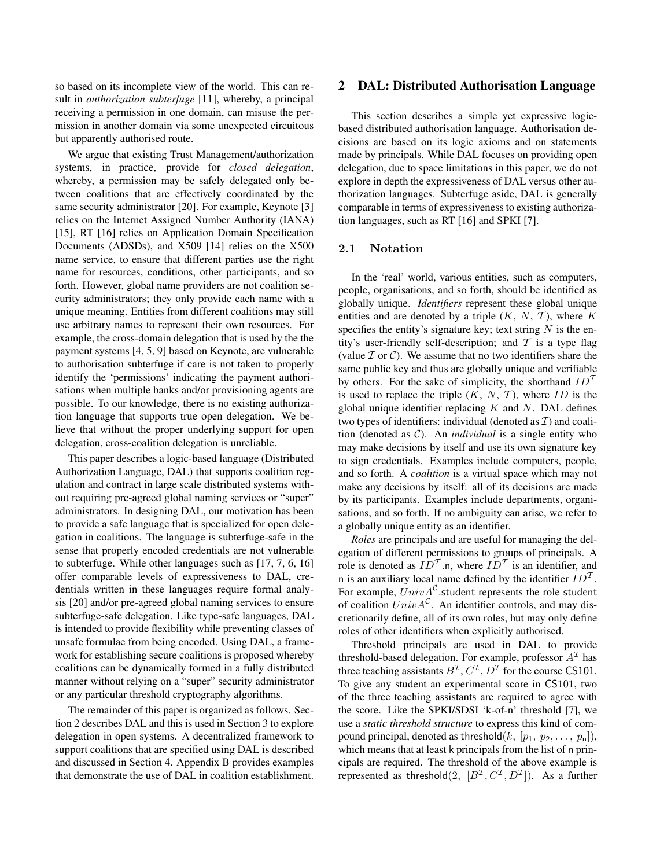so based on its incomplete view of the world. This can result in *authorization subterfuge* [11], whereby, a principal receiving a permission in one domain, can misuse the permission in another domain via some unexpected circuitous but apparently authorised route.

We argue that existing Trust Management/authorization systems, in practice, provide for *closed delegation*, whereby, a permission may be safely delegated only between coalitions that are effectively coordinated by the same security administrator [20]. For example, Keynote [3] relies on the Internet Assigned Number Authority (IANA) [15], RT [16] relies on Application Domain Specification Documents (ADSDs), and X509 [14] relies on the X500 name service, to ensure that different parties use the right name for resources, conditions, other participants, and so forth. However, global name providers are not coalition security administrators; they only provide each name with a unique meaning. Entities from different coalitions may still use arbitrary names to represent their own resources. For example, the cross-domain delegation that is used by the the payment systems [4, 5, 9] based on Keynote, are vulnerable to authorisation subterfuge if care is not taken to properly identify the 'permissions' indicating the payment authorisations when multiple banks and/or provisioning agents are possible. To our knowledge, there is no existing authorization language that supports true open delegation. We believe that without the proper underlying support for open delegation, cross-coalition delegation is unreliable.

This paper describes a logic-based language (Distributed Authorization Language, DAL) that supports coalition regulation and contract in large scale distributed systems without requiring pre-agreed global naming services or "super" administrators. In designing DAL, our motivation has been to provide a safe language that is specialized for open delegation in coalitions. The language is subterfuge-safe in the sense that properly encoded credentials are not vulnerable to subterfuge. While other languages such as [17, 7, 6, 16] offer comparable levels of expressiveness to DAL, credentials written in these languages require formal analysis [20] and/or pre-agreed global naming services to ensure subterfuge-safe delegation. Like type-safe languages, DAL is intended to provide flexibility while preventing classes of unsafe formulae from being encoded. Using DAL, a framework for establishing secure coalitions is proposed whereby coalitions can be dynamically formed in a fully distributed manner without relying on a "super" security administrator or any particular threshold cryptography algorithms.

The remainder of this paper is organized as follows. Section 2 describes DAL and this is used in Section 3 to explore delegation in open systems. A decentralized framework to support coalitions that are specified using DAL is described and discussed in Section 4. Appendix B provides examples that demonstrate the use of DAL in coalition establishment.

#### 2 DAL: Distributed Authorisation Language

This section describes a simple yet expressive logicbased distributed authorisation language. Authorisation decisions are based on its logic axioms and on statements made by principals. While DAL focuses on providing open delegation, due to space limitations in this paper, we do not explore in depth the expressiveness of DAL versus other authorization languages. Subterfuge aside, DAL is generally comparable in terms of expressiveness to existing authorization languages, such as RT [16] and SPKI [7].

#### 2.1 Notation

In the 'real' world, various entities, such as computers, people, organisations, and so forth, should be identified as globally unique. *Identifiers* represent these global unique entities and are denoted by a triple  $(K, N, T)$ , where K specifies the entity's signature key; text string  $N$  is the entity's user-friendly self-description; and  $T$  is a type flag (value  $\mathcal I$  or  $\mathcal C$ ). We assume that no two identifiers share the same public key and thus are globally unique and verifiable by others. For the sake of simplicity, the shorthand  $ID<sup>T</sup>$ is used to replace the triple  $(K, N, T)$ , where ID is the global unique identifier replacing  $K$  and  $N$ . DAL defines two types of identifiers: individual (denoted as  $\mathcal{I}$ ) and coalition (denoted as C). An *individual* is a single entity who may make decisions by itself and use its own signature key to sign credentials. Examples include computers, people, and so forth. A *coalition* is a virtual space which may not make any decisions by itself: all of its decisions are made by its participants. Examples include departments, organisations, and so forth. If no ambiguity can arise, we refer to a globally unique entity as an identifier.

*Roles* are principals and are useful for managing the delegation of different permissions to groups of principals. A role is denoted as  $ID<sup>T</sup>$ .n, where  $ID<sup>T</sup>$  is an identifier, and n is an auxiliary local name defined by the identifier  $ID<sup>T</sup>$ . For example,  $UnivA^\mathcal{C}.$ student represents the role student of coalition  $UnivA^{\mathcal{C}}$ . An identifier controls, and may discretionarily define, all of its own roles, but may only define roles of other identifiers when explicitly authorised.

Threshold principals are used in DAL to provide threshold-based delegation. For example, professor  $A<sup>\mathcal{I}</sup>$  has three teaching assistants  $B<sup>\mathcal{I}</sup>$ ,  $C<sup>\mathcal{I}</sup>$ ,  $D<sup>\mathcal{I}</sup>$  for the course CS101. To give any student an experimental score in CS101, two of the three teaching assistants are required to agree with the score. Like the SPKI/SDSI 'k-of-n' threshold [7], we use a *static threshold structure* to express this kind of compound principal, denoted as threshold $(k, [p_1, p_2, \ldots, p_n]),$ which means that at least k principals from the list of n principals are required. The threshold of the above example is represented as threshold $(2, [B^{\mathcal{I}}, C^{\mathcal{I}}, D^{\mathcal{I}}])$ . As a further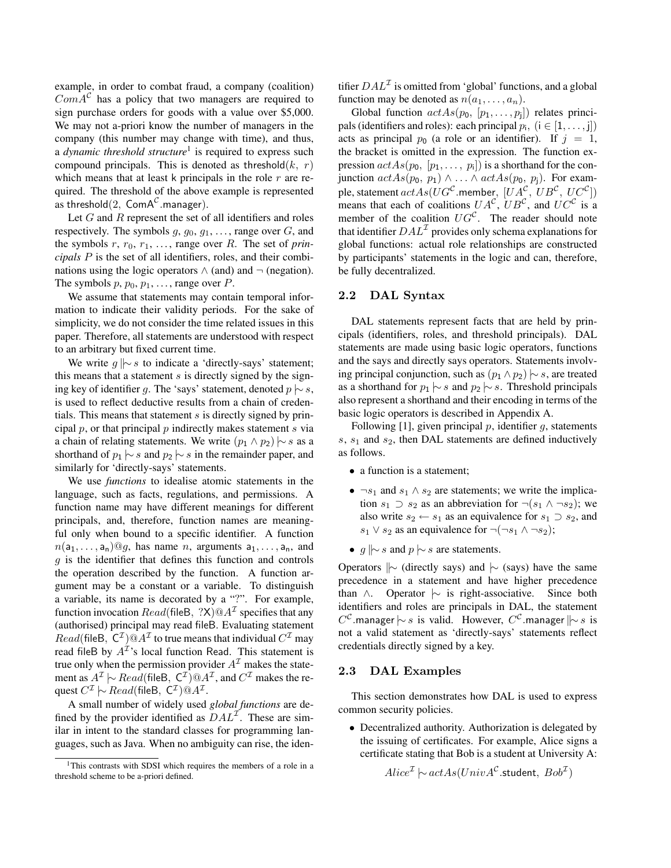example, in order to combat fraud, a company (coalition)  $Com A<sup>C</sup>$  has a policy that two managers are required to sign purchase orders for goods with a value over \$5,000. We may not a-priori know the number of managers in the company (this number may change with time), and thus, a *dynamic threshold structure*<sup>1</sup> is required to express such compound principals. This is denoted as threshold $(k, r)$ which means that at least k principals in the role  $r$  are required. The threshold of the above example is represented as threshold $(2, \text{ ComA}^{\mathcal{C}}.$ manager).

Let  $G$  and  $R$  represent the set of all identifiers and roles respectively. The symbols  $g, g_0, g_1, \ldots$ , range over  $G$ , and the symbols  $r, r_0, r_1, \ldots$ , range over R. The set of *principals* P is the set of all identifiers, roles, and their combinations using the logic operators  $\wedge$  (and) and  $\neg$  (negation). The symbols  $p, p_0, p_1, \ldots$ , range over P.

We assume that statements may contain temporal information to indicate their validity periods. For the sake of simplicity, we do not consider the time related issues in this paper. Therefore, all statements are understood with respect to an arbitrary but fixed current time.

We write  $g \nightharpoonup s$  to indicate a 'directly-says' statement; this means that a statement  $s$  is directly signed by the signing key of identifier g. The 'says' statement, denoted  $p \sim s$ , is used to reflect deductive results from a chain of credentials. This means that statement s is directly signed by principal  $p$ , or that principal  $p$  indirectly makes statement  $s$  via a chain of relating statements. We write  $(p_1 \wedge p_2) \sim s$  as a shorthand of  $p_1 \sim s$  and  $p_2 \sim s$  in the remainder paper, and similarly for 'directly-says' statements.

We use *functions* to idealise atomic statements in the language, such as facts, regulations, and permissions. A function name may have different meanings for different principals, and, therefore, function names are meaningful only when bound to a specific identifier. A function  $n(a_1, \ldots, a_n) \tQg$ , has name n, arguments  $a_1, \ldots, a_n$ , and  $g$  is the identifier that defines this function and controls the operation described by the function. A function argument may be a constant or a variable. To distinguish a variable, its name is decorated by a "?". For example, function invocation  $Read(\text{fileB}, ?X) @ A^{\mathcal{I}}$  specifies that any (authorised) principal may read fileB. Evaluating statement  $Read(\text{fileB}, \mathsf{C}^{\mathcal{I}}) @A^{\mathcal{I}}$  to true means that individual  $C^{\mathcal{I}}$  may read fileB by  $A<sup>\mathcal{I}</sup>$ 's local function Read. This statement is true only when the permission provider  $A<sup>\mathcal{I}</sup>$  makes the statement as  $A^{\mathcal{I}} \models Read(\text{fileB}, \mathsf{C}^{\mathcal{I}}) @A^{\mathcal{I}}, \text{and } C^{\mathcal{I}}$  makes the request  $C^{\mathcal{I}} \leftarrow Read$ (fileB,  $C^{\mathcal{I}}$ ) $@A^{\mathcal{I}}$ .

A small number of widely used *global functions* are defined by the provider identified as  $DAL<sup>T</sup>$ . These are similar in intent to the standard classes for programming languages, such as Java. When no ambiguity can rise, the iden-

tifier  $DAL<sup>T</sup>$  is omitted from 'global' functions, and a global function may be denoted as  $n(a_1, \ldots, a_n)$ .

Global function  $actAs(p_0, [p_1, \ldots, p_j])$  relates principals (identifiers and roles): each principal  $p_i$ ,  $(i \in [1, \ldots, j])$ acts as principal  $p_0$  (a role or an identifier). If  $j = 1$ , the bracket is omitted in the expression. The function expression  $actAs(p_0, [p_1, \ldots, p_i])$  is a shorthand for the conjunction  $actAs(p_0, p_1) \wedge ... \wedge actAs(p_0, p_j)$ . For example, statement  $actAs(UG^{\mathcal{C}}.$ member,  $[UA^{\mathcal{C}}, \, UB^{\mathcal{C}}, \, UC^{\mathcal{C}}])$ means that each of coalitions  $UA^{\mathcal{C}}$ ,  $UB^{\mathcal{C}}$ , and  $UC^{\mathcal{C}}$  is a member of the coalition  $UG^{\mathcal{C}}$ . The reader should note that identifier  $\mathit{DAL}^\mathcal{I}$  provides only schema explanations for global functions: actual role relationships are constructed by participants' statements in the logic and can, therefore, be fully decentralized.

#### 2.2 DAL Syntax

DAL statements represent facts that are held by principals (identifiers, roles, and threshold principals). DAL statements are made using basic logic operators, functions and the says and directly says operators. Statements involving principal conjunction, such as  $(p_1 \wedge p_2) \sim s$ , are treated as a shorthand for  $p_1 \sim s$  and  $p_2 \sim s$ . Threshold principals also represent a shorthand and their encoding in terms of the basic logic operators is described in Appendix A.

Following [1], given principal  $p$ , identifier  $q$ , statements  $s, s<sub>1</sub>$  and  $s<sub>2</sub>$ , then DAL statements are defined inductively as follows.

- a function is a statement;
- $\neg s_1$  and  $s_1 \wedge s_2$  are statements; we write the implication  $s_1 \supset s_2$  as an abbreviation for  $\neg(s_1 \land \neg s_2)$ ; we also write  $s_2 \leftarrow s_1$  as an equivalence for  $s_1 \supset s_2$ , and  $s_1 ∨ s_2$  as an equivalence for  $\neg(\neg s_1 ∧ \neg s_2);$
- $q \not\mid \sim s$  and  $p \not\sim s$  are statements.

Operators  $\| \sim$  (directly says) and  $\| \sim$  (says) have the same precedence in a statement and have higher precedence than  $\wedge$ . Operator  $\sim$  is right-associative. Since both identifiers and roles are principals in DAL, the statement  $C^{\mathcal{C}}.$ manager  $\mid\!\sim s$  is valid. However,  $C^{\mathcal{C}}.$ manager  $\mid\!\sim s$  is not a valid statement as 'directly-says' statements reflect credentials directly signed by a key.

#### 2.3 DAL Examples

This section demonstrates how DAL is used to express common security policies.

• Decentralized authority. Authorization is delegated by the issuing of certificates. For example, Alice signs a certificate stating that Bob is a student at University A:

$$
Alice^{\mathcal{I}} \models actAs(UnivA^{\mathcal{C}}.\textsf{student},\, Bob^{\mathcal{I}})
$$

<sup>&</sup>lt;sup>1</sup>This contrasts with SDSI which requires the members of a role in a threshold scheme to be a-priori defined.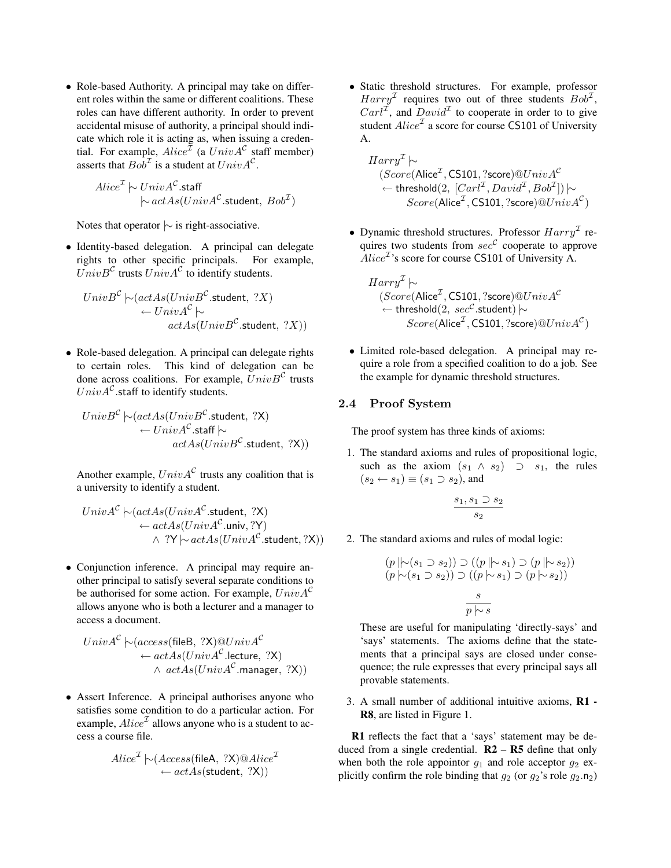• Role-based Authority. A principal may take on different roles within the same or different coalitions. These roles can have different authority. In order to prevent accidental misuse of authority, a principal should indicate which role it is acting as, when issuing a credential. For example,  $Alice^{\bar{\mathcal{I}}}$  (a  $UnivA^{\mathcal{C}}$  staff member) asserts that  $Bob^{\mathcal{I}}$  is a student at  $UnivA^{\mathcal{C}}$ .

$$
\begin{aligned} \textit{Alice}^{\mathcal{I}} &\sim \textit{UnivA}^{\mathcal{C}}.\textsf{staff} \\ &\sim \textit{actAs}(\textit{UnivA}^{\mathcal{C}}.\textsf{student},\ \textit{Bob}^{\mathcal{I}}) \end{aligned}
$$

Notes that operator  $\sim$  is right-associative.

• Identity-based delegation. A principal can delegate rights to other specific principals. For example,  $UnivB<sup>C</sup>$  trusts  $UnivA<sup>C</sup>$  to identify students.

$$
UnivB^{c} \sim (actAs(UnivB^{c}.student, ?X) \leftarrow UnivA^{c} \sim actAs(UnivB^{c}.student, ?X))
$$

• Role-based delegation. A principal can delegate rights to certain roles. This kind of delegation can be done across coalitions. For example,  $UnivB<sup>C</sup>$  trusts  $Univ A<sup>C</sup>$  staff to identify students.

$$
UnivB^{c} \sim (actAs(UnivB^{c}.student, ?X) \leftarrow UnivA^{c}.staff \sim actAs(UnivB^{c}.student, ?X))
$$

Another example,  $UnivA<sup>C</sup>$  trusts any coalition that is a university to identify a student.

$$
UnivA^{c} \sim (actAs(UnivA^{c}.student, ?X) \leftarrow actAs(UnivA^{c}.univ, ?Y) \land ?Y \sim actAs(UnivA^{c}.student, ?X))
$$

• Conjunction inference. A principal may require another principal to satisfy several separate conditions to be authorised for some action. For example,  $UnivA<sup>C</sup>$ allows anyone who is both a lecturer and a manager to access a document.

$$
UnivA^{c} \sim (access(\text{fileB}, ?X) \textcircled{u} UnivA^{c}
$$
  
 
$$
\leftarrow actAs(UnivA^{c}. \text{lecture}, ?X)
$$
  
 
$$
\wedge actAs(UnivA^{c}. \text{manager}, ?X))
$$

• Assert Inference. A principal authorises anyone who satisfies some condition to do a particular action. For example,  $Alice^{\mathcal{I}}$  allows anyone who is a student to access a course file.

$$
Alice^{\mathcal{I}} \rightarrow (Access(\text{fileA}, ?X)@Alice^{\mathcal{I}} \leftarrow actAs(\text{student}, ?X))
$$

• Static threshold structures. For example, professor  $Harry^{\mathcal{I}}$  requires two out of three students  $Bob^{\mathcal{I}}$ ,  $Carl^{\mathcal{I}}$ , and  $David^{\mathcal{I}}$  to cooperate in order to to give student  $Alice^{\mathcal{I}}$  a score for course CS101 of University A.

Harry<sup>I</sup> |∼ (Score(Alice<sup>I</sup> , CS101, ?score)@UnivA<sup>C</sup> ← threshold(2, [Carl<sup>I</sup> , David<sup>I</sup> , Bob<sup>I</sup> ])|∼ Score(Alice<sup>I</sup> , CS101, ?score)@UnivA<sup>C</sup> )

• Dynamic threshold structures. Professor  $Harry^{\mathcal{I}}$  requires two students from  $sec^{\mathcal{C}}$  cooperate to approve  $\widehat{Alice}^{\mathcal{I}}$ 's score for course CS101 of University A.

$$
HarryT \n\sim\n(Score(\text{Alice}T, \text{CS101}, ?score)@Univ AC\n\leftarrow \text{threshold}(2, secC.student) \n\sim\nScore(\text{Alice}T, \text{CS101}, ?score)@Univ AC)
$$

• Limited role-based delegation. A principal may require a role from a specified coalition to do a job. See the example for dynamic threshold structures.

### 2.4 Proof System

The proof system has three kinds of axioms:

1. The standard axioms and rules of propositional logic, such as the axiom  $(s_1 \wedge s_2) \supset s_1$ , the rules  $(s_2 \leftarrow s_1) \equiv (s_1 \supset s_2)$ , and

$$
\frac{s_1, s_1 \supset s_2}{s_2}
$$

2. The standard axioms and rules of modal logic:

$$
(p \mid \neg(\neg(s_1 \supset s_2)) \supset ((p \mid \neg(s_1) \supset (p \mid \neg(s_2))
$$

$$
(p \mid \neg(s_1 \supset s_2)) \supset ((p \mid \neg(s_1) \supset (p \mid \neg(s_2)))
$$

$$
\frac{s}{p \mid \neg(s)}
$$

These are useful for manipulating 'directly-says' and 'says' statements. The axioms define that the statements that a principal says are closed under consequence; the rule expresses that every principal says all provable statements.

3. A small number of additional intuitive axioms, R1 - R8, are listed in Figure 1.

R1 reflects the fact that a 'says' statement may be deduced from a single credential.  $R2 - R5$  define that only when both the role appointor  $g_1$  and role acceptor  $g_2$  explicitly confirm the role binding that  $g_2$  (or  $g_2$ 's role  $g_2$ .n<sub>2</sub>)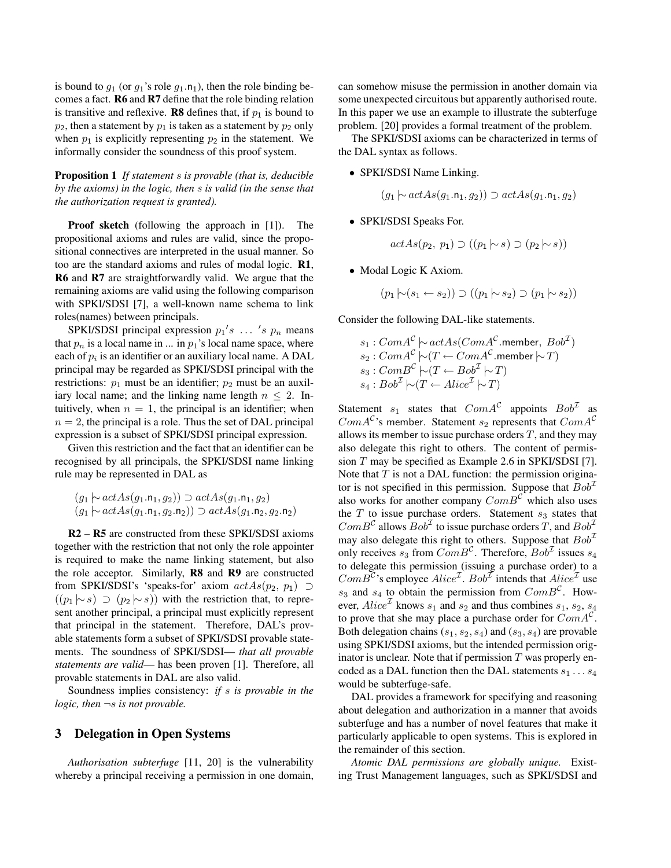is bound to  $g_1$  (or  $g_1$ 's role  $g_1 \cdot n_1$ ), then the role binding becomes a fact. R6 and R7 define that the role binding relation is transitive and reflexive. **R8** defines that, if  $p_1$  is bound to  $p_2$ , then a statement by  $p_1$  is taken as a statement by  $p_2$  only when  $p_1$  is explicitly representing  $p_2$  in the statement. We informally consider the soundness of this proof system.

### Proposition 1 *If statement* s *is provable (that is, deducible by the axioms) in the logic, then* s *is valid (in the sense that the authorization request is granted).*

**Proof sketch** (following the approach in [1]). The propositional axioms and rules are valid, since the propositional connectives are interpreted in the usual manner. So too are the standard axioms and rules of modal logic. R1, R6 and R7 are straightforwardly valid. We argue that the remaining axioms are valid using the following comparison with SPKI/SDSI [7], a well-known name schema to link roles(names) between principals.

SPKI/SDSI principal expression  $p_1$ 's ... 's  $p_n$  means that  $p_n$  is a local name in ... in  $p_1$ 's local name space, where each of  $p_i$  is an identifier or an auxiliary local name. A DAL principal may be regarded as SPKI/SDSI principal with the restrictions:  $p_1$  must be an identifier;  $p_2$  must be an auxiliary local name; and the linking name length  $n \leq 2$ . Intuitively, when  $n = 1$ , the principal is an identifier; when  $n = 2$ , the principal is a role. Thus the set of DAL principal expression is a subset of SPKI/SDSI principal expression.

Given this restriction and the fact that an identifier can be recognised by all principals, the SPKI/SDSI name linking rule may be represented in DAL as

$$
(g_1 \triangleright actAs(g_1.n_1, g_2)) \supset actAs(g_1.n_1, g_2)
$$
  

$$
(g_1 \triangleright actAs(g_1.n_1, g_2.n_2)) \supset actAs(g_1.n_2, g_2.n_2)
$$

R2 – R5 are constructed from these SPKI/SDSI axioms together with the restriction that not only the role appointer is required to make the name linking statement, but also the role acceptor. Similarly, R8 and R9 are constructed from SPKI/SDSI's 'speaks-for' axiom  $actAs(p_2, p_1) \supset$  $((p_1 \sim s) \supset (p_2 \sim s))$  with the restriction that, to represent another principal, a principal must explicitly represent that principal in the statement. Therefore, DAL's provable statements form a subset of SPKI/SDSI provable statements. The soundness of SPKI/SDSI— *that all provable statements are valid*— has been proven [1]. Therefore, all provable statements in DAL are also valid.

Soundness implies consistency: *if* s *is provable in the logic, then* ¬s *is not provable.*

### 3 Delegation in Open Systems

*Authorisation subterfuge* [11, 20] is the vulnerability whereby a principal receiving a permission in one domain, can somehow misuse the permission in another domain via some unexpected circuitous but apparently authorised route. In this paper we use an example to illustrate the subterfuge problem. [20] provides a formal treatment of the problem.

The SPKI/SDSI axioms can be characterized in terms of the DAL syntax as follows.

• SPKI/SDSI Name Linking.

$$
(g_1 \triangleright actAs(g_1.n_1, g_2)) \supset actAs(g_1.n_1, g_2)
$$

• SPKI/SDSI Speaks For.

$$
actAs(p_2, p_1) \supset ((p_1 \sim s) \supset (p_2 \sim s))
$$

• Modal Logic K Axiom.

$$
(p_1 \triangleright (s_1 \leftarrow s_2)) \supset ((p_1 \triangleright s_2) \supset (p_1 \triangleright s_2))
$$

Consider the following DAL-like statements.

$$
s_1: Com A^{\mathcal{C}} \sim actAs(Com A^{\mathcal{C}}. member, Bob^{\mathcal{I}})
$$
  
\n
$$
s_2: Com A^{\mathcal{C}} \sim (T \leftarrow Com A^{\mathcal{C}}. member \leftarrow T)
$$
  
\n
$$
s_3: Com B^{\mathcal{C}} \sim (T \leftarrow Bob^{\mathcal{I}} \leftarrow T)
$$
  
\n
$$
s_4: Bob^{\mathcal{I}} \sim (T \leftarrow Alice^{\mathcal{I}} \leftarrow T)
$$

Statement  $s_1$  states that  $ComA^{\mathcal{C}}$  appoints  $Bob^{\mathcal{I}}$  as  $Com A^{\mathcal{C}}$ 's member. Statement  $s_2$  represents that  $Com A^{\mathcal{C}}$ allows its member to issue purchase orders  $T$ , and they may also delegate this right to others. The content of permission  $T$  may be specified as Example 2.6 in SPKI/SDSI [7]. Note that  $T$  is not a DAL function: the permission originator is not specified in this permission. Suppose that  $Bob<sup>T</sup>$ also works for another company  $ComB^{\mathcal{C}}$  which also uses the  $T$  to issue purchase orders. Statement  $s_3$  states that  $ComB^{\mathcal{C}}$  allows  $Bob^{\mathcal{I}}$  to issue purchase orders T, and  $Bob^{\mathcal{I}}$ may also delegate this right to others. Suppose that  $Bob<sup>T</sup>$ only receives  $s_3$  from  $ComB^{\mathcal{C}}$ . Therefore,  $Bob^{\mathcal{I}}$  issues  $s_4$ to delegate this permission (issuing a purchase order) to a  $ComB^{\mathcal{C}}$ 's employee  $Alice^{\mathcal{I}}$ .  $Bob^{\mathcal{I}}$  intends that  $Alice^{\mathcal{I}}$  use  $s_3$  and  $s_4$  to obtain the permission from  $ComB<sup>C</sup>$ . However,  $Alice^{\mathcal{I}}$  knows  $s_1$  and  $s_2$  and thus combines  $s_1, s_2, s_4$ to prove that she may place a purchase order for  $ComA^{\mathcal{C}}$ . Both delegation chains  $(s_1, s_2, s_4)$  and  $(s_3, s_4)$  are provable using SPKI/SDSI axioms, but the intended permission originator is unclear. Note that if permission  $T$  was properly encoded as a DAL function then the DAL statements  $s_1 \ldots s_4$ would be subterfuge-safe.

DAL provides a framework for specifying and reasoning about delegation and authorization in a manner that avoids subterfuge and has a number of novel features that make it particularly applicable to open systems. This is explored in the remainder of this section.

*Atomic DAL permissions are globally unique.* Existing Trust Management languages, such as SPKI/SDSI and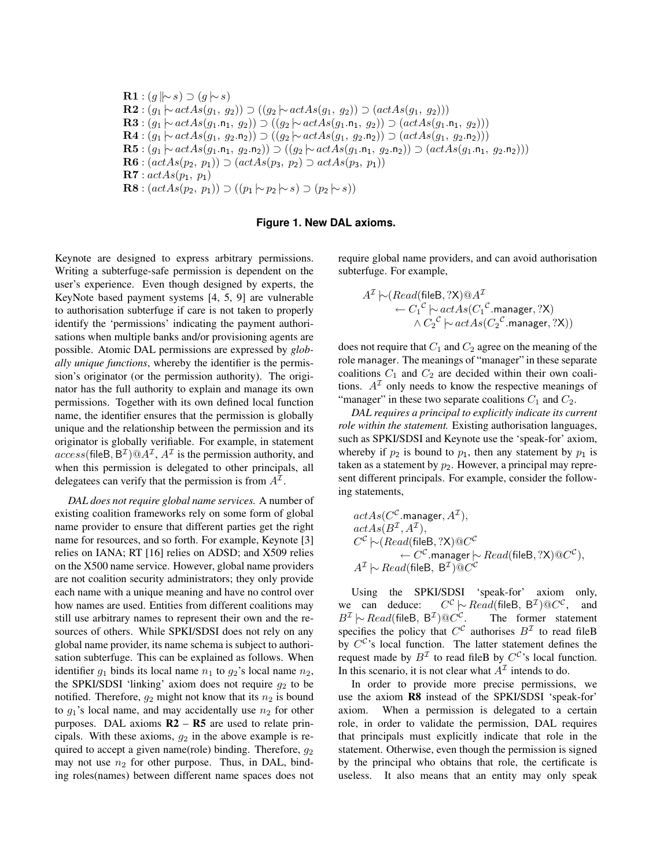R1 : 
$$
(g \rvert \rhd s)
$$
 ⊃  $(g \rvert \rhd s)$   
R2 :  $(g_1 \rhd \text{actAs}(g_1, g_2))$  ⊃  $((g_2 \rhd \text{actAs}(g_1, g_2))$  ⊃  $(\text{actAs}(g_1, g_2)))$   
R3 :  $(g_1 \rhd \text{actAs}(g_1 \cdot n_1, g_2))$  ⊃  $((g_2 \rhd \text{actAs}(g_1 \cdot n_1, g_2))$  ⊇  $(\text{actAs}(g_1 \cdot n_1, g_2)))$   
R4 :  $(g_1 \rhd \text{actAs}(g_1, g_2 \cdot n_2))$  ⊃  $((g_2 \rhd \text{actAs}(g_1, g_2 \cdot n_2))$  ⊃  $(\text{actAs}(g_1, g_2 \cdot n_2)))$   
R5 :  $(g_1 \rhd \text{actAs}(g_1 \cdot n_1, g_2 \cdot n_2))$  ⊃  $((g_2 \rhd \text{actAs}(g_1 \cdot n_1, g_2 \cdot n_2))$  ⊃  $(\text{actAs}(g_1 \cdot n_1, g_2 \cdot n_2)))$   
R6 :  $(\text{actAs}(p_2, p_1))$  ⊃  $(\text{actAs}(p_3, p_2)$  ⊃  $\text{actAs}(p_3, p_1))$   
R7 :  $\text{actAs}(p_1, p_1)$   
R8 :  $(\text{actAs}(p_2, p_1))$  ⊃  $((p_1 \rhd p_2 \rhd s)$  ⊇  $(p_2 \rhd s))$ 

#### **Figure 1. New DAL axioms.**

Keynote are designed to express arbitrary permissions. Writing a subterfuge-safe permission is dependent on the user's experience. Even though designed by experts, the KeyNote based payment systems [4, 5, 9] are vulnerable to authorisation subterfuge if care is not taken to properly identify the 'permissions' indicating the payment authorisations when multiple banks and/or provisioning agents are possible. Atomic DAL permissions are expressed by *globally unique functions*, whereby the identifier is the permission's originator (or the permission authority). The originator has the full authority to explain and manage its own permissions. Together with its own defined local function name, the identifier ensures that the permission is globally unique and the relationship between the permission and its originator is globally verifiable. For example, in statement  $access(\text{fileB}, B^{\mathcal{I}}) @ A^{\mathcal{I}}, A^{\mathcal{I}} \text{ is the permission authority, and}$ when this permission is delegated to other principals, all delegatees can verify that the permission is from  $A<sup>\mathcal{I}</sup>$ .

*DAL does not require global name services.* A number of existing coalition frameworks rely on some form of global name provider to ensure that different parties get the right name for resources, and so forth. For example, Keynote [3] relies on IANA; RT [16] relies on ADSD; and X509 relies on the X500 name service. However, global name providers are not coalition security administrators; they only provide each name with a unique meaning and have no control over how names are used. Entities from different coalitions may still use arbitrary names to represent their own and the resources of others. While SPKI/SDSI does not rely on any global name provider, its name schema is subject to authorisation subterfuge. This can be explained as follows. When identifier  $g_1$  binds its local name  $n_1$  to  $g_2$ 's local name  $n_2$ , the SPKI/SDSI 'linking' axiom does not require  $g_2$  to be notified. Therefore,  $q_2$  might not know that its  $n_2$  is bound to  $g_1$ 's local name, and may accidentally use  $n_2$  for other purposes. DAL axioms  $R2 - R5$  are used to relate principals. With these axioms,  $g_2$  in the above example is required to accept a given name(role) binding. Therefore,  $g_2$ may not use  $n_2$  for other purpose. Thus, in DAL, binding roles(names) between different name spaces does not

require global name providers, and can avoid authorisation subterfuge. For example,

$$
\begin{array}{c}\nA^{\mathcal{I}} \hspace{0.2em}\sim\hspace{-0.9em}\left(\hspace{-0.2em}\textit{Read}(\text{fileB}, ?\text{X})@A^{\mathcal{I}}\right.\\
\leftarrow C_{1}{}^{c} \hspace{0.2em}\sim\hspace{-0.2em} actAs(C_{1}{}^{c}.\text{manager}, ?\text{X})\\
\wedge C_{2}{}^{c} \hspace{0.2em}\sim\hspace{-0.2em} actAs(C_{2}{}^{c}.\text{manager}, ?\text{X}))\n\end{array}
$$

does not require that  $C_1$  and  $C_2$  agree on the meaning of the role manager. The meanings of "manager" in these separate coalitions  $C_1$  and  $C_2$  are decided within their own coalitions.  $A<sup>T</sup>$  only needs to know the respective meanings of "manager" in these two separate coalitions  $C_1$  and  $C_2$ .

*DAL requires a principal to explicitly indicate its current role within the statement.* Existing authorisation languages, such as SPKI/SDSI and Keynote use the 'speak-for' axiom, whereby if  $p_2$  is bound to  $p_1$ , then any statement by  $p_1$  is taken as a statement by  $p_2$ . However, a principal may represent different principals. For example, consider the following statements,

$$
actAs(CC.manager, AT),\nactAs(BT, AT),\nCC |~(Read(fileB, ?X)@CC\n~~CC.manager |~ Read(fileB, ?X)@CC),\nAT |~ Read(fileB, BT)@CC
$$

Using the SPKI/SDSI 'speak-for' axiom only, we can deduce:  $\mathcal{C} \models Read(\text{fileB}, \mathsf{B}^{\mathcal{I}})@C^{\mathcal{C}}, \text{ and}$  $B^{\mathcal{I}} \models Read(\text{fileB}, B^{\mathcal{I}}) @ C^{\mathcal{C}}.$  The former statement specifies the policy that  $C^{\mathcal{C}}$  authorises  $B^{\mathcal{I}}$  to read file B by  $C^{C}$ 's local function. The latter statement defines the request made by  $B<sup>\mathcal{I}</sup>$  to read fileB by  $C<sup>\mathcal{C}</sup>$ 's local function. In this scenario, it is not clear what  $A<sup>\mathcal{I}</sup>$  intends to do.

In order to provide more precise permissions, we use the axiom R8 instead of the SPKI/SDSI 'speak-for' axiom. When a permission is delegated to a certain role, in order to validate the permission, DAL requires that principals must explicitly indicate that role in the statement. Otherwise, even though the permission is signed by the principal who obtains that role, the certificate is useless. It also means that an entity may only speak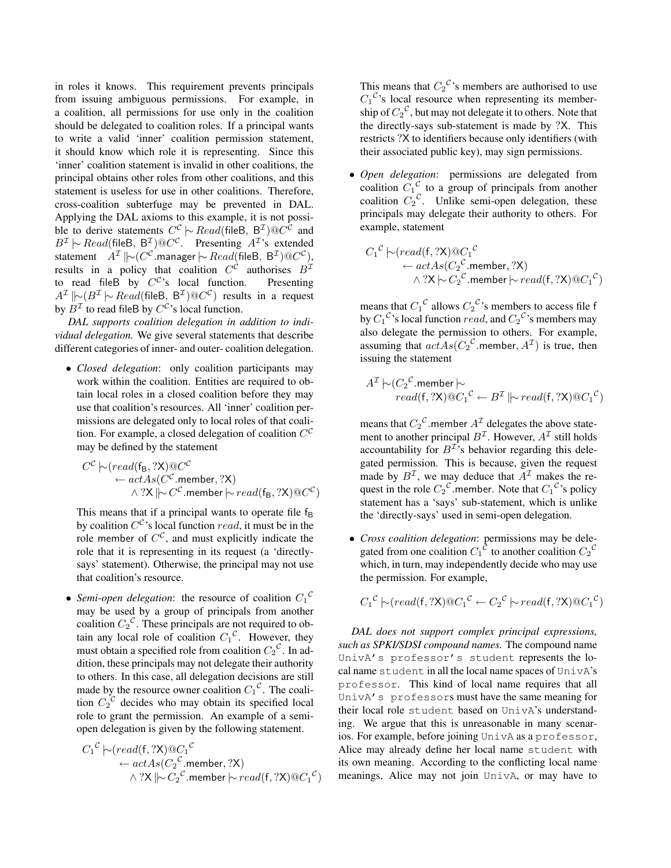in roles it knows. This requirement prevents principals from issuing ambiguous permissions. For example, in a coalition, all permissions for use only in the coalition should be delegated to coalition roles. If a principal wants to write a valid 'inner' coalition permission statement, it should know which role it is representing. Since this 'inner' coalition statement is invalid in other coalitions, the principal obtains other roles from other coalitions, and this statement is useless for use in other coalitions. Therefore, cross-coalition subterfuge may be prevented in DAL. Applying the DAL axioms to this example, it is not possible to derive statements  $C^C \sim Read(\text{fileB}, B^{\mathcal{I}}) @ C^C$  and  $B^{\mathcal{I}} \models Read(\text{fileB}, B^{\mathcal{I}}) @ C^{\mathcal{C}}.$  Presenting  $A^{\mathcal{I}}$ 's extended statement  $A^{\mathcal{I}} \models \!\! \backslash (C^{\mathcal{C}}.$ manager  $\mid\!\! \sim \mathit{Read}(\mathsf{fileB}, \ \mathsf{B}^{\mathcal{I}}) @ C^{\mathcal{C}}),$ results in a policy that coalition  $C^{\mathcal{C}}$  authorises  $B^{\mathcal{I}}$ to read fileB by  $C^C$ 's local function. Presenting  $A^{\mathcal{I}} \models (B^{\mathcal{I}} \models Real(\text{fileB}, B^{\mathcal{I}}) @ C^{\mathcal{C}})$  results in a request by  $B<sup>\mathcal{I}</sup>$  to read fileB by  $C<sup>\mathcal{C}</sup>$ 's local function.

*DAL supports coalition delegation in addition to individual delegation.* We give several statements that describe different categories of inner- and outer- coalition delegation.

• *Closed delegation*: only coalition participants may work within the coalition. Entities are required to obtain local roles in a closed coalition before they may use that coalition's resources. All 'inner' coalition permissions are delegated only to local roles of that coalition. For example, a closed delegation of coalition  $C^{\mathcal{C}}$ may be defined by the statement

$$
C^{C} \rightarrow (read(f_{B}, ?X)@C^{C}\leftarrow actAs(C^{C}.\text{member}, ?X)\land ?X \parallel\sim C^{C}.\text{member} \rightarrow read(f_{B}, ?X)@C^{C})
$$

This means that if a principal wants to operate file  $f_B$ by coalition  $C^{\mathcal{C}}$ 's local function  $read$ , it must be in the role member of  $C^{\mathcal{C}}$ , and must explicitly indicate the role that it is representing in its request (a 'directlysays' statement). Otherwise, the principal may not use that coalition's resource.

• *Semi-open delegation*: the resource of coalition  $C_1^C$ may be used by a group of principals from another coalition  $C_2^c$ . These principals are not required to obtain any local role of coalition  $C_1^c$ . However, they must obtain a specified role from coalition  $C_2^c$ . In addition, these principals may not delegate their authority to others. In this case, all delegation decisions are still made by the resource owner coalition  $C_1^{\ c}$ . The coalition  $C_2^{\;\;\dot{\;}c}$  decides who may obtain its specified local role to grant the permission. An example of a semiopen delegation is given by the following statement.

$$
C_1^{\ C} \sim (read(f, ?\mathbf{X})@C_1^{\ C} \leftarrow actAs(C_2^{\ C}.member, ?\mathbf{X}) \wedge ?\mathbf{X} \parallel \sim C_2^{\ C}.member \sim read(f, ?\mathbf{X})@C_1^{\ C})
$$

This means that  $C_2^{\mathcal{C}}$ 's members are authorised to use  $C_1^{\ c}$ 's local resource when representing its membership of  $C_2^c$ , but may not delegate it to others. Note that the directly-says sub-statement is made by ?X. This restricts ?X to identifiers because only identifiers (with their associated public key), may sign permissions.

• *Open delegation*: permissions are delegated from coalition  $C_1^{\ \mathcal{C}}$  to a group of principals from another coalition  $C_2^{\mathcal{C}}$ . Unlike semi-open delegation, these principals may delegate their authority to others. For example, statement

$$
C_1^{\mathcal{C}} \sim (read(\mathbf{f}, ?\mathbf{X})@C_1^{\mathcal{C}}\leftarrow actAs(C_2^{\mathcal{C}}.\text{member}, ?\mathbf{X})\land ?\mathbf{X} \sim C_2^{\mathcal{C}}.\text{member} \sim read(\mathbf{f}, ?\mathbf{X})@C_1^{\mathcal{C}})
$$

means that  $C_1^{\ c}$  allows  $C_2^{\ c}$ 's members to access file f by  $C_1^c$ 's local function  $read$ , and  $C_2^c$ 's members may also delegate the permission to others. For example, assuming that  $actAs(C_2^{\mathcal{C}}.$  member,  $A^{\mathcal{I}}$ ) is true, then issuing the statement

$$
\begin{array}{c}\nA^{\mathcal{I}} \hspace{-.6mm}\sim\hspace{-.6mm} (C_2{}^{\mathcal{C}}.\text{member} \hspace{-.6mm}\sim\hspace{-.6mm} \\ \hspace{-.6mm} read(\mathfrak{f}, ?\mathsf{X})@C_1{}^{\mathcal{C}} \leftarrow B^{\mathcal{I}} \hspace{-.6mm}\parallel\hspace{-.6mm} \sim read(\mathfrak{f}, ?\mathsf{X})@C_1{}^{\mathcal{C}})\n\end{array}
$$

means that  $C_2^{\;\; \mathcal{C}}$  member  $A^{\mathcal{I}}$  delegates the above statement to another principal  $B<sup>\mathcal{I}</sup>$ . However,  $A<sup>\mathcal{I}</sup>$  still holds accountability for  $B<sup>\mathcal{I}</sup>$ 's behavior regarding this delegated permission. This is because, given the request made by  $B^{\mathcal{I}}$ , we may deduce that  $A^{\mathcal{I}}$  makes the request in the role  $C_2^c$  member. Note that  $C_1^c$ 's policy statement has a 'says' sub-statement, which is unlike the 'directly-says' used in semi-open delegation.

• *Cross coalition delegation*: permissions may be delegated from one coalition  $C_1^{\ \mathcal{C}}$  to another coalition  $C_2^{\ \mathcal{C}}$ which, in turn, may independently decide who may use the permission. For example,

$$
C_1^{\mathcal{C}} \sim (read(f, ?\mathsf{X}) \mathcal{Q} C_1^{\mathcal{C}} \leftarrow C_2^{\mathcal{C}} \sim read(f, ?\mathsf{X}) \mathcal{Q} C_1^{\mathcal{C}})
$$

*DAL does not support complex principal expressions, such as SPKI/SDSI compound names.* The compound name UnivA's professor's student represents the local name student in all the local name spaces of UnivA's professor. This kind of local name requires that all UnivA's professors must have the same meaning for their local role student based on UnivA's understanding. We argue that this is unreasonable in many scenarios. For example, before joining UnivA as a professor, Alice may already define her local name student with its own meaning. According to the conflicting local name meanings, Alice may not join UnivA, or may have to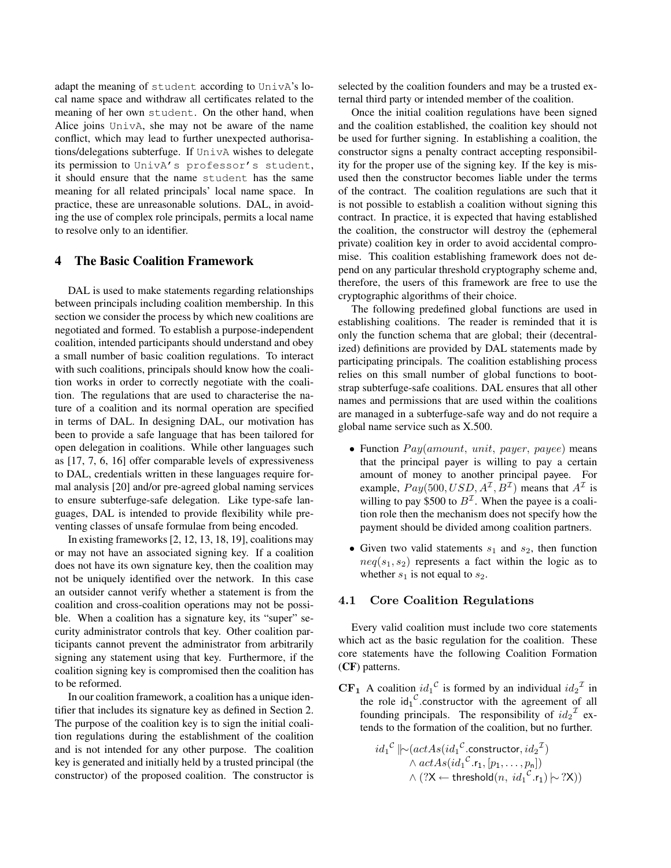adapt the meaning of student according to UnivA's local name space and withdraw all certificates related to the meaning of her own student. On the other hand, when Alice joins UnivA, she may not be aware of the name conflict, which may lead to further unexpected authorisations/delegations subterfuge. If UnivA wishes to delegate its permission to UnivA's professor's student, it should ensure that the name student has the same meaning for all related principals' local name space. In practice, these are unreasonable solutions. DAL, in avoiding the use of complex role principals, permits a local name to resolve only to an identifier.

### 4 The Basic Coalition Framework

DAL is used to make statements regarding relationships between principals including coalition membership. In this section we consider the process by which new coalitions are negotiated and formed. To establish a purpose-independent coalition, intended participants should understand and obey a small number of basic coalition regulations. To interact with such coalitions, principals should know how the coalition works in order to correctly negotiate with the coalition. The regulations that are used to characterise the nature of a coalition and its normal operation are specified in terms of DAL. In designing DAL, our motivation has been to provide a safe language that has been tailored for open delegation in coalitions. While other languages such as [17, 7, 6, 16] offer comparable levels of expressiveness to DAL, credentials written in these languages require formal analysis [20] and/or pre-agreed global naming services to ensure subterfuge-safe delegation. Like type-safe languages, DAL is intended to provide flexibility while preventing classes of unsafe formulae from being encoded.

In existing frameworks [2, 12, 13, 18, 19], coalitions may or may not have an associated signing key. If a coalition does not have its own signature key, then the coalition may not be uniquely identified over the network. In this case an outsider cannot verify whether a statement is from the coalition and cross-coalition operations may not be possible. When a coalition has a signature key, its "super" security administrator controls that key. Other coalition participants cannot prevent the administrator from arbitrarily signing any statement using that key. Furthermore, if the coalition signing key is compromised then the coalition has to be reformed.

In our coalition framework, a coalition has a unique identifier that includes its signature key as defined in Section 2. The purpose of the coalition key is to sign the initial coalition regulations during the establishment of the coalition and is not intended for any other purpose. The coalition key is generated and initially held by a trusted principal (the constructor) of the proposed coalition. The constructor is selected by the coalition founders and may be a trusted external third party or intended member of the coalition.

Once the initial coalition regulations have been signed and the coalition established, the coalition key should not be used for further signing. In establishing a coalition, the constructor signs a penalty contract accepting responsibility for the proper use of the signing key. If the key is misused then the constructor becomes liable under the terms of the contract. The coalition regulations are such that it is not possible to establish a coalition without signing this contract. In practice, it is expected that having established the coalition, the constructor will destroy the (ephemeral private) coalition key in order to avoid accidental compromise. This coalition establishing framework does not depend on any particular threshold cryptography scheme and, therefore, the users of this framework are free to use the cryptographic algorithms of their choice.

The following predefined global functions are used in establishing coalitions. The reader is reminded that it is only the function schema that are global; their (decentralized) definitions are provided by DAL statements made by participating principals. The coalition establishing process relies on this small number of global functions to bootstrap subterfuge-safe coalitions. DAL ensures that all other names and permissions that are used within the coalitions are managed in a subterfuge-safe way and do not require a global name service such as X.500.

- Function  $Pay(amount, unit, payer, page)$  means that the principal payer is willing to pay a certain amount of money to another principal payee. For example,  $Pay(500, USD, A<sup>Z</sup>, B<sup>Z</sup>)$  means that  $A<sup>Z</sup>$  is willing to pay \$500 to  $B<sup>\mathcal{I}</sup>$ . When the payee is a coalition role then the mechanism does not specify how the payment should be divided among coalition partners.
- Given two valid statements  $s_1$  and  $s_2$ , then function  $neg(s_1, s_2)$  represents a fact within the logic as to whether  $s_1$  is not equal to  $s_2$ .

#### 4.1 Core Coalition Regulations

Every valid coalition must include two core statements which act as the basic regulation for the coalition. These core statements have the following Coalition Formation (CF) patterns.

 $CF_1$  A coalition  $id_1^C$  is formed by an individual  $id_2^T$  in the role  $id_1^{\mathcal{C}}$  constructor with the agreement of all founding principals. The responsibility of  $id_2^T$  extends to the formation of the coalition, but no further.

$$
\mathit{id_1}^{\mathcal{C}} \, \|\neg(\mathit{actAs}(\mathit{id_1}^{\mathcal{C}}.\mathsf{constructor},\mathit{id_2}^{\mathcal{I}}) \land \mathit{actAs}(\mathit{id_1}^{\mathcal{C}}.\mathsf{r}_1,[p_1,\ldots,p_n]) \land (\mathit{?X} \leftarrow \mathsf{threshold}(n,\mathit{id_1}^{\mathcal{C}}.\mathsf{r}_1) \sim \mathit{?X})
$$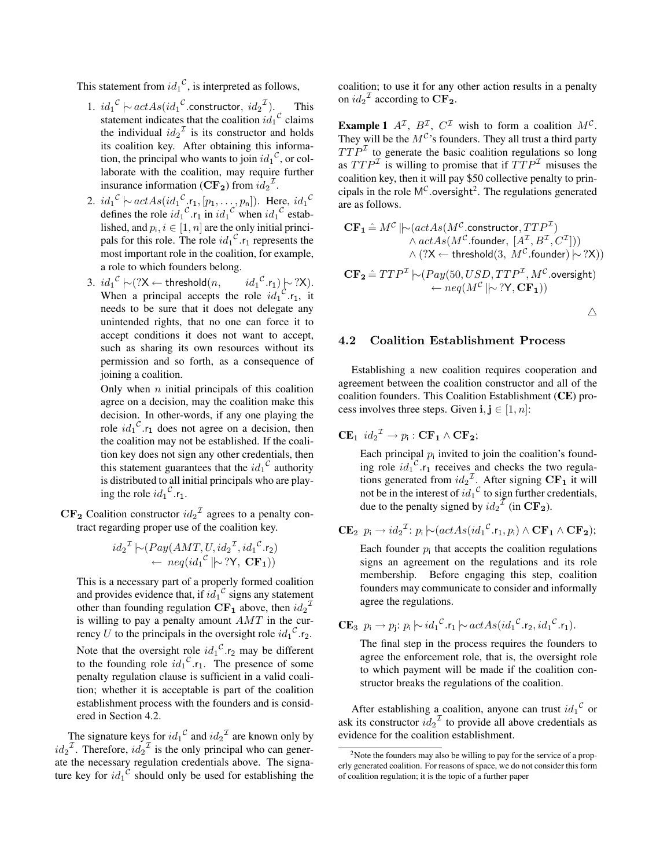This statement from  $id_1^{\mathcal{C}}$ , is interpreted as follows,

- 1.  $id_1^{\mathcal{C}} \models actAs(id_1^{\mathcal{C}}.\mathsf{constructor},\ id_2^{\mathcal{I}})$ ). This statement indicates that the coalition  $id_1^{\ c}$  claims the individual  $id_2^{\mathcal{I}}$  is its constructor and holds its coalition key. After obtaining this information, the principal who wants to join  $id_1^c$ , or collaborate with the coalition, may require further insurance information ( $CF_2$ ) from  $id_2^{\mathcal{I}}$ .
- 2.  $id_1^{\mathcal{C}} \sim actAs(id_1^{\mathcal{C}}.r_1,[p_1,\ldots,p_n]).$  Here,  $id_1^{\mathcal{C}}$ defines the role  $id_1^c$ .  $r_1$  in  $id_1^c$  when  $id_1^c$  established, and  $p_i, i \in [1, n]$  are the only initial principals for this role. The role  $id_1^c.r_1$  represents the most important role in the coalition, for example, a role to which founders belong.
- 3.  $id_1^{\mathcal{C}} \leftarrow \text{threshold}(n, \quad id_1^{\mathcal{C}}.r_1) \left\downarrow \cdot ?X).$ When a principal accepts the role  $id_1^c$ . $r_1$ , it needs to be sure that it does not delegate any unintended rights, that no one can force it to accept conditions it does not want to accept, such as sharing its own resources without its permission and so forth, as a consequence of joining a coalition.

Only when  $n$  initial principals of this coalition agree on a decision, may the coalition make this decision. In other-words, if any one playing the role  $id_1^C.r_1$  does not agree on a decision, then the coalition may not be established. If the coalition key does not sign any other credentials, then this statement guarantees that the  $id_1^{\mathcal{C}}$  authority is distributed to all initial principals who are playing the role  $id_1^c$ .r<sub>1</sub>.

 $CF_2$  Coalition constructor  $id_2^{\mathcal{I}}$  agrees to a penalty contract regarding proper use of the coalition key.

$$
id_2^{\mathcal{I}} \upharpoonright (Pay(AMT, U, id_2^{\mathcal{I}}, id_1^{\mathcal{C}}. \mathbf{r}_2) \\ \leftarrow \text{ } neg(id_1^{\mathcal{C}} \upharpoonright \sim ?\mathsf{Y}, \mathbf{CF_1}))
$$

This is a necessary part of a properly formed coalition and provides evidence that, if  $id_1^c$  signs any statement other than founding regulation  $CF_1$  above, then  $id_2^{\mathcal{I}}$ is willing to pay a penalty amount  $AMT$  in the currency U to the principals in the oversight role  $id_1^C$ .r<sub>2</sub>. Note that the oversight role  $id_1^C.r_2$  may be different to the founding role  $id_1^C.r_1$ . The presence of some penalty regulation clause is sufficient in a valid coalition; whether it is acceptable is part of the coalition establishment process with the founders and is considered in Section 4.2.

The signature keys for  $id_1^{\mathcal{C}}$  and  $id_2^{\mathcal{I}}$  are known only by  $id_2^{\mathcal{I}}$ . Therefore,  $id_2^{\mathcal{I}}$  is the only principal who can generate the necessary regulation credentials above. The signature key for  $id_1^C$  should only be used for establishing the coalition; to use it for any other action results in a penalty on  $id_2^{\mathcal{I}}$  according to  $\overline{\text{CF}}_2$ .

**Example 1**  $A^{\mathcal{I}}$ ,  $B^{\mathcal{I}}$ ,  $C^{\mathcal{I}}$  wish to form a coalition  $M^{\mathcal{C}}$ . They will be the  $M^C$ 's founders. They all trust a third party  $TTP<sup>\mathcal{I}</sup>$  to generate the basic coalition regulations so long as  $TTP<sup>\mathcal I</sup>$  is willing to promise that if  $TTP<sup>\mathcal I</sup>$  misuses the coalition key, then it will pay \$50 collective penalty to principals in the role  $M^{\mathcal{C}}$  oversight<sup>2</sup>. The regulations generated are as follows.

$$
\begin{array}{l} \mathbf{CF_1} \hat{=} \, M^{\mathcal{C}} \, \| \neg (actAs(M^{\mathcal{C}}.\text{constructor}, TTP^{\mathcal{I}}) \\ \wedge \, actAs(M^{\mathcal{C}}.\text{fourder}, \ [A^{\mathcal{I}}, B^{\mathcal{I}}, C^{\mathcal{I}}])) \\ \wedge \, (?\mathsf{X} \leftarrow \mathsf{threshold}(3, \ M^{\mathcal{C}}.\mathsf{fourder}) \, [\neg \, ?\mathsf{X})) \end{array}
$$

$$
\begin{aligned} \mathbf{CF_2} &\triangleq TTP^{\mathcal{I}} \left| \sim \left(Pay(50, USD, TTP^{\mathcal{I}}, M^{\mathcal{C}}.\text{oversight})\right) \\ &\leftarrow neq(M^{\mathcal{C}} \left| \left| \sim ?\mathsf{Y}, \mathbf{CF_1} \right) \right) \end{aligned}
$$

 $\triangle$ 

#### 4.2 Coalition Establishment Process

Establishing a new coalition requires cooperation and agreement between the coalition constructor and all of the coalition founders. This Coalition Establishment (CE) process involves three steps. Given  $\mathbf{i}, \mathbf{j} \in [1, n]$ :

$$
\mathbf{CE}_1 \ \mathit{id}_2^{\mathcal{I}} \to p_i : \mathbf{CF_1} \wedge \mathbf{CF_2};
$$

Each principal  $p_i$  invited to join the coalition's founding role  $id_1^{\ \mathcal{C}}.r_1$  receives and checks the two regulations generated from  $id_2^{\mathcal{I}}$ . After signing  $\mathbf{CF}_1$  it will not be in the interest of  $id_1^c$  to sign further credentials, due to the penalty signed by  $id_2^{\mathcal{I}}$  (in  $\mathbf{CF_2}$ ).

$$
\mathbf{CE}_2 \ \ p_i \to id_2^{\mathcal{I}}: \ p_i \mid \sim (actAs(id_1{}^{\mathcal{C}}.r_1, p_i) \land \mathbf{CF_1} \land \mathbf{CF_2});
$$

Each founder  $p_i$  that accepts the coalition regulations signs an agreement on the regulations and its role membership. Before engaging this step, coalition founders may communicate to consider and informally agree the regulations.

$$
\mathbf{CE}_3 \ \ p_i \to p_j \colon p_i \mid \sim id_1^{\mathcal{C}} \cdot r_1 \mid \sim actAs(id_1^{\mathcal{C}} \cdot r_2, id_1^{\mathcal{C}} \cdot r_1).
$$

The final step in the process requires the founders to agree the enforcement role, that is, the oversight role to which payment will be made if the coalition constructor breaks the regulations of the coalition.

After establishing a coalition, anyone can trust  $id_1^C$  or ask its constructor  $id_2^{\mathcal{I}}$  to provide all above credentials as evidence for the coalition establishment.

<sup>&</sup>lt;sup>2</sup>Note the founders may also be willing to pay for the service of a properly generated coalition. For reasons of space, we do not consider this form of coalition regulation; it is the topic of a further paper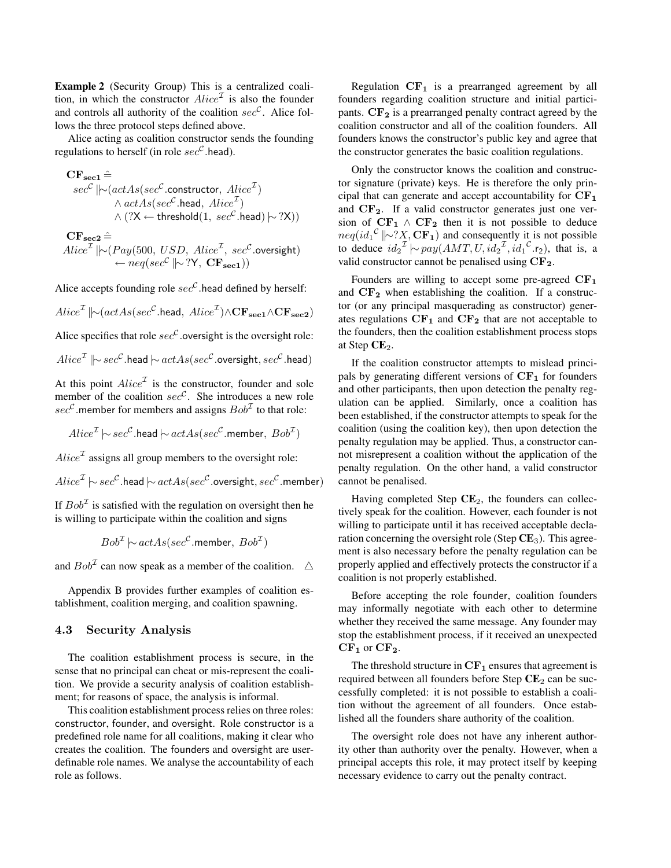Example 2 (Security Group) This is a centralized coalition, in which the constructor  $Alice^{\mathcal{I}}$  is also the founder and controls all authority of the coalition  $sec^c$ . Alice follows the three protocol steps defined above.

Alice acting as coalition constructor sends the founding regulations to herself (in role  $\sec^c$  head).

CFsec1 ˆ= sec<sup>C</sup> k∼(actAs(sec<sup>C</sup> .constructor, Alice<sup>I</sup> ) ∧ actAs(sec<sup>C</sup> .head, Alice<sup>I</sup> ) ∧ (?X ← threshold(1, sec<sup>C</sup> .head)|∼ ?X)) CFsec2 ˆ= Alice<sup>I</sup> k∼(P ay(500, USD, Alice<sup>I</sup> , sec<sup>C</sup> .oversight) ← neq(sec<sup>C</sup> k∼ ?Y, CFsec1))

Alice accepts founding role  $\sec^{\mathcal{C}}$ . head defined by herself:

 $Alice^{\mathcal{I}} \Vdash \simeq (actAs(sec^\mathcal{C}.\mathsf{head}, \mathit{Alice}^{\mathcal{I}}) \wedge \mathbf{CF_{sec1}} \wedge \mathbf{CF_{sec2}})$ 

Alice specifies that role  $\sec^{\mathcal{C}}$  oversight is the oversight role:

 $Alice^{\mathcal{I}} \Vdash \mathit{sec}^{\mathcal{C}}$ .head  $\mathop{\sim} \mathit{actAs}(\mathit{sec}^{\mathcal{C}}.\mathsf{oversight}, \mathit{sec}^{\mathcal{C}}.\mathsf{head})$ 

At this point  $Alice^{\mathcal{I}}$  is the constructor, founder and sole member of the coalition  $sec^c$ . She introduces a new role sec<sup>C</sup> member for members and assigns  $Bob<sup>T</sup>$  to that role:

 $Alice^{\mathcal{I}} \models \textit{sec}^{\mathcal{C}}$ .head  $\mid\sim actAs(sec^{\mathcal{C}}.$ member,  $Bob^{\mathcal{I}})$ 

 $Alice^{\mathcal{I}}$  assigns all group members to the oversight role:

 $Alice^{\mathcal{I}} \models \mathit{sec}^{\mathcal{C}}$ .head  $\mid\sim actAs(sec^{\mathcal{C}}.\mathsf{oversight}, sec^{\mathcal{C}}.$ member)

If  $Bob<sup>\mathcal{I}</sup>$  is satisfied with the regulation on oversight then he is willing to participate within the coalition and signs

$$
Bob^{\mathcal{I}} \sim actAs(sec^{\mathcal{C}}.\text{member}, Bob^{\mathcal{I}})
$$

and  $Bob<sup>\mathcal{I}</sup>$  can now speak as a member of the coalition.  $\triangle$ 

Appendix B provides further examples of coalition establishment, coalition merging, and coalition spawning.

### 4.3 Security Analysis

The coalition establishment process is secure, in the sense that no principal can cheat or mis-represent the coalition. We provide a security analysis of coalition establishment; for reasons of space, the analysis is informal.

This coalition establishment process relies on three roles: constructor, founder, and oversight. Role constructor is a predefined role name for all coalitions, making it clear who creates the coalition. The founders and oversight are userdefinable role names. We analyse the accountability of each role as follows.

Regulation  $CF_1$  is a prearranged agreement by all founders regarding coalition structure and initial participants.  $CF_2$  is a prearranged penalty contract agreed by the coalition constructor and all of the coalition founders. All founders knows the constructor's public key and agree that the constructor generates the basic coalition regulations.

Only the constructor knows the coalition and constructor signature (private) keys. He is therefore the only principal that can generate and accept accountability for  $CF_1$ and  $CF_2$ . If a valid constructor generates just one version of  $CF_1 \wedge CF_2$  then it is not possible to deduce  $neq(id_1^{\ C}\parallel \sim ?X, \mathbf{CF_1})$  and consequently it is not possible to deduce  $id_2^T \sim pay(AMT, U, id_2^T, id_1^C.r_2)$ , that is, a valid constructor cannot be penalised using  $CF_2$ .

Founders are willing to accept some pre-agreed  $CF<sub>1</sub>$ and  $CF<sub>2</sub>$  when establishing the coalition. If a constructor (or any principal masquerading as constructor) generates regulations  $CF_1$  and  $CF_2$  that are not acceptable to the founders, then the coalition establishment process stops at Step  $CE<sub>2</sub>$ .

If the coalition constructor attempts to mislead principals by generating different versions of  $CF<sub>1</sub>$  for founders and other participants, then upon detection the penalty regulation can be applied. Similarly, once a coalition has been established, if the constructor attempts to speak for the coalition (using the coalition key), then upon detection the penalty regulation may be applied. Thus, a constructor cannot misrepresent a coalition without the application of the penalty regulation. On the other hand, a valid constructor cannot be penalised.

Having completed Step  $CE_2$ , the founders can collectively speak for the coalition. However, each founder is not willing to participate until it has received acceptable declaration concerning the oversight role (Step  $CE_3$ ). This agreement is also necessary before the penalty regulation can be properly applied and effectively protects the constructor if a coalition is not properly established.

Before accepting the role founder, coalition founders may informally negotiate with each other to determine whether they received the same message. Any founder may stop the establishment process, if it received an unexpected  $CF_1$  or  $CF_2$ .

The threshold structure in  $CF_1$  ensures that agreement is required between all founders before Step  $CE_2$  can be successfully completed: it is not possible to establish a coalition without the agreement of all founders. Once established all the founders share authority of the coalition.

The oversight role does not have any inherent authority other than authority over the penalty. However, when a principal accepts this role, it may protect itself by keeping necessary evidence to carry out the penalty contract.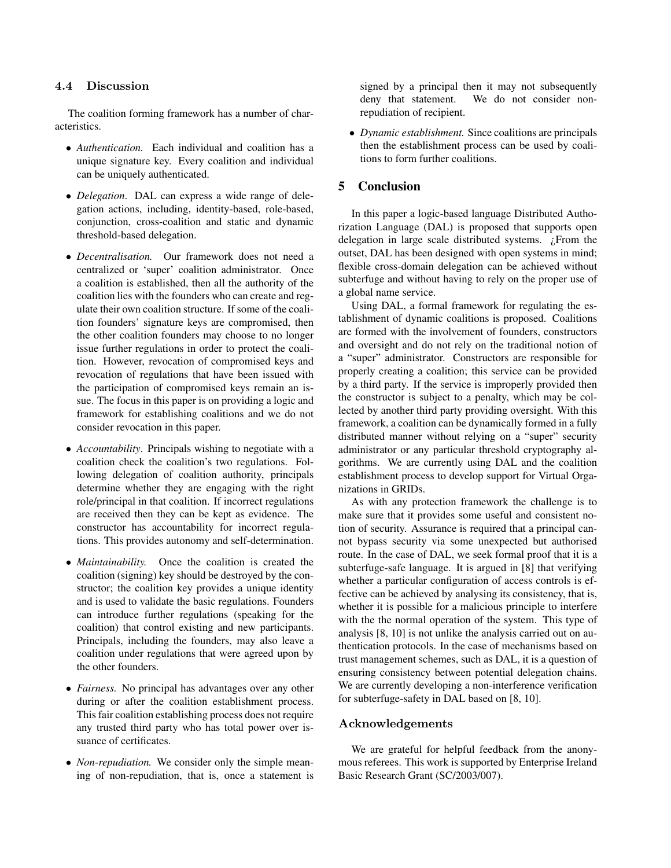### 4.4 Discussion

The coalition forming framework has a number of characteristics.

- *Authentication.* Each individual and coalition has a unique signature key. Every coalition and individual can be uniquely authenticated.
- *Delegation*. DAL can express a wide range of delegation actions, including, identity-based, role-based, conjunction, cross-coalition and static and dynamic threshold-based delegation.
- *Decentralisation.* Our framework does not need a centralized or 'super' coalition administrator. Once a coalition is established, then all the authority of the coalition lies with the founders who can create and regulate their own coalition structure. If some of the coalition founders' signature keys are compromised, then the other coalition founders may choose to no longer issue further regulations in order to protect the coalition. However, revocation of compromised keys and revocation of regulations that have been issued with the participation of compromised keys remain an issue. The focus in this paper is on providing a logic and framework for establishing coalitions and we do not consider revocation in this paper.
- *Accountability*. Principals wishing to negotiate with a coalition check the coalition's two regulations. Following delegation of coalition authority, principals determine whether they are engaging with the right role/principal in that coalition. If incorrect regulations are received then they can be kept as evidence. The constructor has accountability for incorrect regulations. This provides autonomy and self-determination.
- *Maintainability.* Once the coalition is created the coalition (signing) key should be destroyed by the constructor; the coalition key provides a unique identity and is used to validate the basic regulations. Founders can introduce further regulations (speaking for the coalition) that control existing and new participants. Principals, including the founders, may also leave a coalition under regulations that were agreed upon by the other founders.
- *Fairness.* No principal has advantages over any other during or after the coalition establishment process. This fair coalition establishing process does not require any trusted third party who has total power over issuance of certificates.
- *Non-repudiation.* We consider only the simple meaning of non-repudiation, that is, once a statement is

signed by a principal then it may not subsequently deny that statement. We do not consider nonrepudiation of recipient.

• *Dynamic establishment.* Since coalitions are principals then the establishment process can be used by coalitions to form further coalitions.

# 5 Conclusion

In this paper a logic-based language Distributed Authorization Language (DAL) is proposed that supports open delegation in large scale distributed systems. ¿From the outset, DAL has been designed with open systems in mind; flexible cross-domain delegation can be achieved without subterfuge and without having to rely on the proper use of a global name service.

Using DAL, a formal framework for regulating the establishment of dynamic coalitions is proposed. Coalitions are formed with the involvement of founders, constructors and oversight and do not rely on the traditional notion of a "super" administrator. Constructors are responsible for properly creating a coalition; this service can be provided by a third party. If the service is improperly provided then the constructor is subject to a penalty, which may be collected by another third party providing oversight. With this framework, a coalition can be dynamically formed in a fully distributed manner without relying on a "super" security administrator or any particular threshold cryptography algorithms. We are currently using DAL and the coalition establishment process to develop support for Virtual Organizations in GRIDs.

As with any protection framework the challenge is to make sure that it provides some useful and consistent notion of security. Assurance is required that a principal cannot bypass security via some unexpected but authorised route. In the case of DAL, we seek formal proof that it is a subterfuge-safe language. It is argued in [8] that verifying whether a particular configuration of access controls is effective can be achieved by analysing its consistency, that is, whether it is possible for a malicious principle to interfere with the the normal operation of the system. This type of analysis [8, 10] is not unlike the analysis carried out on authentication protocols. In the case of mechanisms based on trust management schemes, such as DAL, it is a question of ensuring consistency between potential delegation chains. We are currently developing a non-interference verification for subterfuge-safety in DAL based on [8, 10].

### Acknowledgements

We are grateful for helpful feedback from the anonymous referees. This work is supported by Enterprise Ireland Basic Research Grant (SC/2003/007).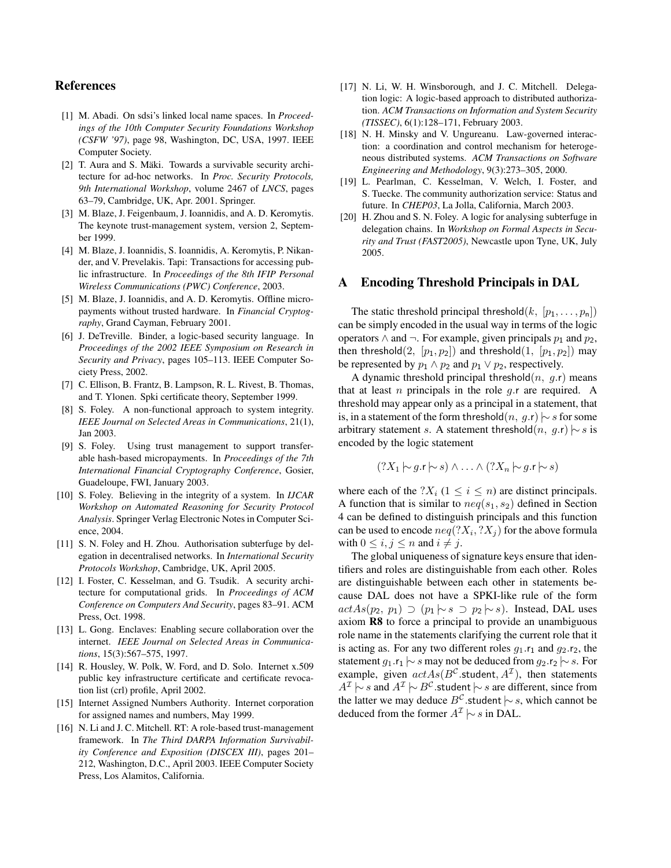### References

- [1] M. Abadi. On sdsi's linked local name spaces. In *Proceedings of the 10th Computer Security Foundations Workshop (CSFW '97)*, page 98, Washington, DC, USA, 1997. IEEE Computer Society.
- [2] T. Aura and S. Mäki. Towards a survivable security architecture for ad-hoc networks. In *Proc. Security Protocols, 9th International Workshop*, volume 2467 of *LNCS*, pages 63–79, Cambridge, UK, Apr. 2001. Springer.
- [3] M. Blaze, J. Feigenbaum, J. Ioannidis, and A. D. Keromytis. The keynote trust-management system, version 2, September 1999.
- [4] M. Blaze, J. Ioannidis, S. Ioannidis, A. Keromytis, P. Nikander, and V. Prevelakis. Tapi: Transactions for accessing public infrastructure. In *Proceedings of the 8th IFIP Personal Wireless Communications (PWC) Conference*, 2003.
- [5] M. Blaze, J. Ioannidis, and A. D. Keromytis. Offline micropayments without trusted hardware. In *Financial Cryptography*, Grand Cayman, February 2001.
- [6] J. DeTreville. Binder, a logic-based security language. In *Proceedings of the 2002 IEEE Symposium on Research in Security and Privacy*, pages 105–113. IEEE Computer Society Press, 2002.
- [7] C. Ellison, B. Frantz, B. Lampson, R. L. Rivest, B. Thomas, and T. Ylonen. Spki certificate theory, September 1999.
- [8] S. Foley. A non-functional approach to system integrity. *IEEE Journal on Selected Areas in Communications*, 21(1), Jan 2003.
- [9] S. Foley. Using trust management to support transferable hash-based micropayments. In *Proceedings of the 7th International Financial Cryptography Conference*, Gosier, Guadeloupe, FWI, January 2003.
- [10] S. Foley. Believing in the integrity of a system. In *IJCAR Workshop on Automated Reasoning for Security Protocol Analysis*. Springer Verlag Electronic Notes in Computer Science, 2004.
- [11] S. N. Foley and H. Zhou. Authorisation subterfuge by delegation in decentralised networks. In *International Security Protocols Workshop*, Cambridge, UK, April 2005.
- [12] I. Foster, C. Kesselman, and G. Tsudik. A security architecture for computational grids. In *Proceedings of ACM Conference on Computers And Security*, pages 83–91. ACM Press, Oct. 1998.
- [13] L. Gong. Enclaves: Enabling secure collaboration over the internet. *IEEE Journal on Selected Areas in Communications*, 15(3):567–575, 1997.
- [14] R. Housley, W. Polk, W. Ford, and D. Solo. Internet x.509 public key infrastructure certificate and certificate revocation list (crl) profile, April 2002.
- [15] Internet Assigned Numbers Authority. Internet corporation for assigned names and numbers, May 1999.
- [16] N. Li and J. C. Mitchell. RT: A role-based trust-management framework. In *The Third DARPA Information Survivability Conference and Exposition (DISCEX III)*, pages 201– 212, Washington, D.C., April 2003. IEEE Computer Society Press, Los Alamitos, California.
- [17] N. Li, W. H. Winsborough, and J. C. Mitchell. Delegation logic: A logic-based approach to distributed authorization. *ACM Transactions on Information and System Security (TISSEC)*, 6(1):128–171, February 2003.
- [18] N. H. Minsky and V. Ungureanu. Law-governed interaction: a coordination and control mechanism for heterogeneous distributed systems. *ACM Transactions on Software Engineering and Methodology*, 9(3):273–305, 2000.
- [19] L. Pearlman, C. Kesselman, V. Welch, I. Foster, and S. Tuecke. The community authorization service: Status and future. In *CHEP03*, La Jolla, California, March 2003.
- [20] H. Zhou and S. N. Foley. A logic for analysing subterfuge in delegation chains. In *Workshop on Formal Aspects in Security and Trust (FAST2005)*, Newcastle upon Tyne, UK, July 2005.

### A Encoding Threshold Principals in DAL

The static threshold principal threshold $(k, [p_1, \ldots, p_n])$ can be simply encoded in the usual way in terms of the logic operators ∧ and  $\neg$ . For example, given principals  $p_1$  and  $p_2$ , then threshold $(2, [p_1, p_2])$  and threshold $(1, [p_1, p_2])$  may be represented by  $p_1 \wedge p_2$  and  $p_1 \vee p_2$ , respectively.

A dynamic threshold principal threshold $(n, g.r)$  means that at least  $n$  principals in the role  $q.r$  are required. A threshold may appear only as a principal in a statement, that is, in a statement of the form threshold $(n, g.r) \sim s$  for some arbitrary statement s. A statement threshold $(n, q, r) \sim s$  is encoded by the logic statement

$$
(?X_1 \sim g.\mathsf{r} \sim s) \land \dots \land (?X_n \sim g.\mathsf{r} \sim s)
$$

where each of the ? $X_i$  ( $1 \le i \le n$ ) are distinct principals. A function that is similar to  $neq(s_1, s_2)$  defined in Section 4 can be defined to distinguish principals and this function can be used to encode  $neq(?X_i, ?X_j)$  for the above formula with  $0 \le i, j \le n$  and  $i \ne j$ .

The global uniqueness of signature keys ensure that identifiers and roles are distinguishable from each other. Roles are distinguishable between each other in statements because DAL does not have a SPKI-like rule of the form  $actAs(p_2, p_1) \supset (p_1 \mid \sim s \supset p_2 \mid \sim s)$ . Instead, DAL uses axiom R8 to force a principal to provide an unambiguous role name in the statements clarifying the current role that it is acting as. For any two different roles  $g_1.r_1$  and  $g_2.r_2$ , the statement  $g_1.r_1 \rightarrow s$  may not be deduced from  $g_2.r_2 \rightarrow s$ . For example, given  $actAs(B<sup>C</sup>.student, A<sup>T</sup>)$ , then statements  $A^{\mathcal{I}} \models s$  and  $A^{\mathcal{I}} \models B^{\mathcal{C}}$  .student  $\models s$  are different, since from the latter we may deduce  $B^{\mathcal{C}}.$ student  $\mathop{\sim} s,$  which cannot be deduced from the former  $A^{\mathcal{I}} \models s$  in DAL.